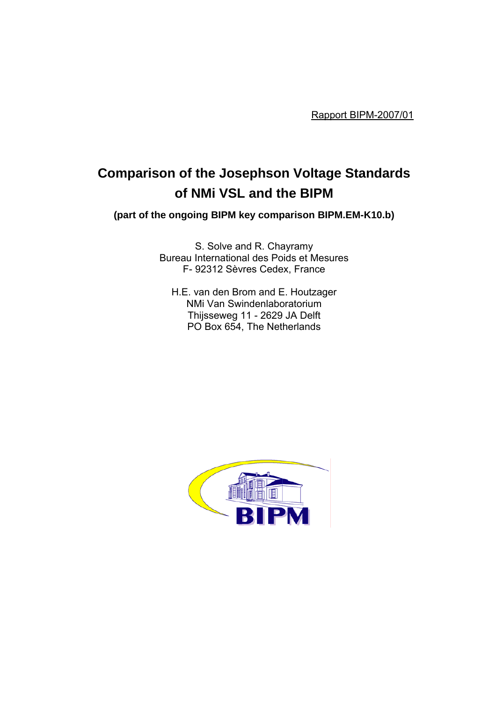Rapport BIPM-2007/01

# **Comparison of the Josephson Voltage Standards of NMi VSL and the BIPM**

**(part of the ongoing BIPM key comparison BIPM.EM-K10.b)** 

S. Solve and R. Chayramy Bureau International des Poids et Mesures F- 92312 Sèvres Cedex, France

H.E. van den Brom and E. Houtzager NMi Van Swindenlaboratorium Thijsseweg 11 - 2629 JA Delft PO Box 654, The Netherlands

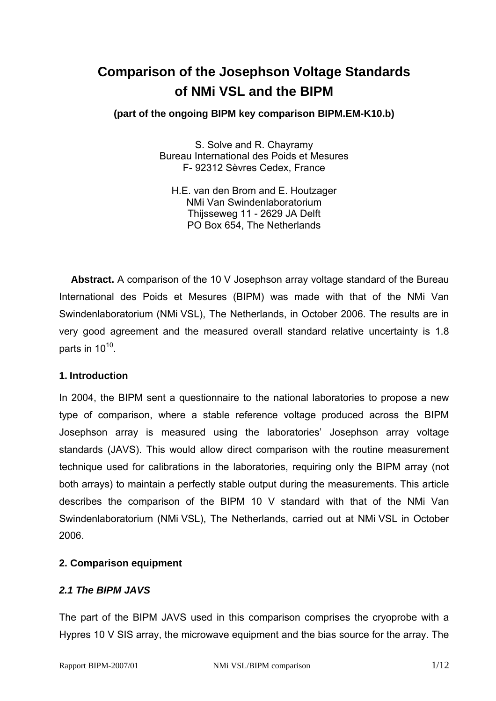# **Comparison of the Josephson Voltage Standards of NMi VSL and the BIPM**

# **(part of the ongoing BIPM key comparison BIPM.EM-K10.b)**

S. Solve and R. Chayramy Bureau International des Poids et Mesures F- 92312 Sèvres Cedex, France

H.E. van den Brom and E. Houtzager NMi Van Swindenlaboratorium Thijsseweg 11 - 2629 JA Delft PO Box 654, The Netherlands

**Abstract.** A comparison of the 10 V Josephson array voltage standard of the Bureau International des Poids et Mesures (BIPM) was made with that of the NMi Van Swindenlaboratorium (NMi VSL), The Netherlands, in October 2006. The results are in very good agreement and the measured overall standard relative uncertainty is 1.8 parts in  $10^{10}$ .

# **1. Introduction**

In 2004, the BIPM sent a questionnaire to the national laboratories to propose a new type of comparison, where a stable reference voltage produced across the BIPM Josephson array is measured using the laboratories' Josephson array voltage standards (JAVS). This would allow direct comparison with the routine measurement technique used for calibrations in the laboratories, requiring only the BIPM array (not both arrays) to maintain a perfectly stable output during the measurements. This article describes the comparison of the BIPM 10 V standard with that of the NMi Van Swindenlaboratorium (NMi VSL), The Netherlands, carried out at NMi VSL in October 2006.

# **2. Comparison equipment**

# *2.1 The BIPM JAVS*

The part of the BIPM JAVS used in this comparison comprises the cryoprobe with a Hypres 10 V SIS array, the microwave equipment and the bias source for the array. The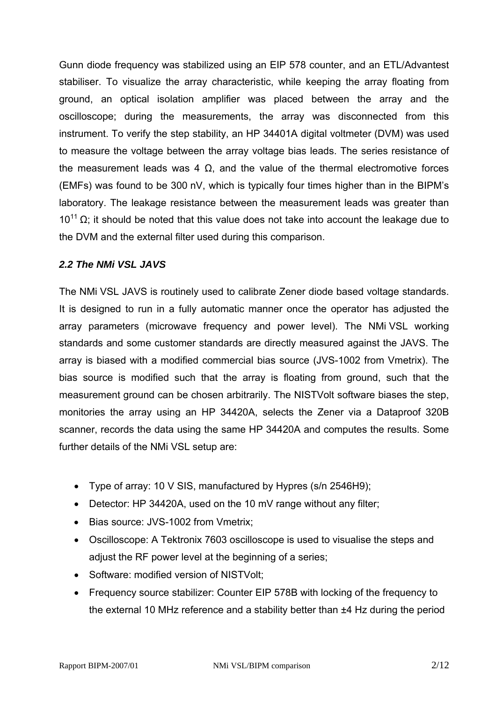Gunn diode frequency was stabilized using an EIP 578 counter, and an ETL/Advantest stabiliser. To visualize the array characteristic, while keeping the array floating from ground, an optical isolation amplifier was placed between the array and the oscilloscope; during the measurements, the array was disconnected from this instrument. To verify the step stability, an HP 34401A digital voltmeter (DVM) was used to measure the voltage between the array voltage bias leads. The series resistance of the measurement leads was 4  $Ω$ , and the value of the thermal electromotive forces (EMFs) was found to be 300 nV, which is typically four times higher than in the BIPM's laboratory. The leakage resistance between the measurement leads was greater than  $10^{11}$  Ω; it should be noted that this value does not take into account the leakage due to the DVM and the external filter used during this comparison.

# *2.2 The NMi VSL JAVS*

The NMi VSL JAVS is routinely used to calibrate Zener diode based voltage standards. It is designed to run in a fully automatic manner once the operator has adjusted the array parameters (microwave frequency and power level). The NMi VSL working standards and some customer standards are directly measured against the JAVS. The array is biased with a modified commercial bias source (JVS-1002 from Vmetrix). The bias source is modified such that the array is floating from ground, such that the measurement ground can be chosen arbitrarily. The NISTVolt software biases the step, monitories the array using an HP 34420A, selects the Zener via a Dataproof 320B scanner, records the data using the same HP 34420A and computes the results. Some further details of the NMi VSL setup are:

- Type of array: 10 V SIS, manufactured by Hypres (s/n 2546H9);
- Detector: HP 34420A, used on the 10 mV range without any filter;
- Bias source: JVS-1002 from Vmetrix:
- Oscilloscope: A Tektronix 7603 oscilloscope is used to visualise the steps and adjust the RF power level at the beginning of a series;
- Software: modified version of NISTVolt:
- Frequency source stabilizer: Counter EIP 578B with locking of the frequency to the external 10 MHz reference and a stability better than ±4 Hz during the period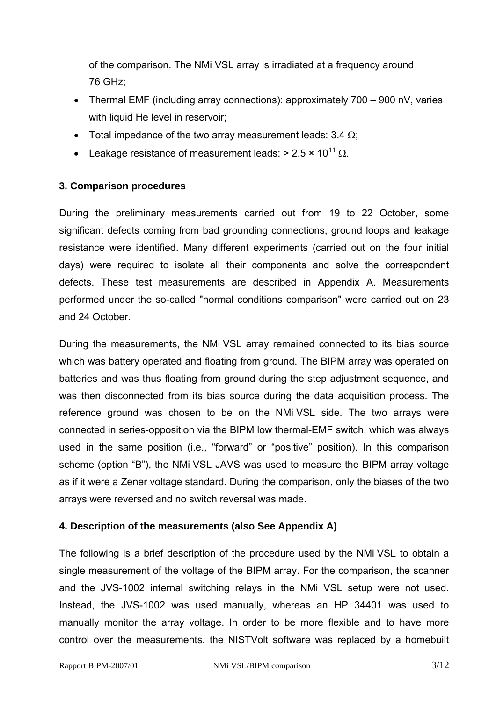of the comparison. The NMi VSL array is irradiated at a frequency around 76 GHz;

- Thermal EMF (including array connections): approximately 700 900 nV, varies with liquid He level in reservoir;
- Total impedance of the two array measurement leads:  $3.4 \Omega$ ;
- Leakage resistance of measurement leads:  $> 2.5 \times 10^{11}$   $\Omega$ .

#### **3. Comparison procedures**

During the preliminary measurements carried out from 19 to 22 October, some significant defects coming from bad grounding connections, ground loops and leakage resistance were identified. Many different experiments (carried out on the four initial days) were required to isolate all their components and solve the correspondent defects. These test measurements are described in Appendix A. Measurements performed under the so-called "normal conditions comparison" were carried out on 23 and 24 October.

During the measurements, the NMi VSL array remained connected to its bias source which was battery operated and floating from ground. The BIPM array was operated on batteries and was thus floating from ground during the step adjustment sequence, and was then disconnected from its bias source during the data acquisition process. The reference ground was chosen to be on the NMi VSL side. The two arrays were connected in series-opposition via the BIPM low thermal-EMF switch, which was always used in the same position (i.e., "forward" or "positive" position). In this comparison scheme (option "B"), the NMi VSL JAVS was used to measure the BIPM array voltage as if it were a Zener voltage standard. During the comparison, only the biases of the two arrays were reversed and no switch reversal was made.

#### **4. Description of the measurements (also See Appendix A)**

The following is a brief description of the procedure used by the NMi VSL to obtain a single measurement of the voltage of the BIPM array. For the comparison, the scanner and the JVS-1002 internal switching relays in the NMi VSL setup were not used. Instead, the JVS-1002 was used manually, whereas an HP 34401 was used to manually monitor the array voltage. In order to be more flexible and to have more control over the measurements, the NISTVolt software was replaced by a homebuilt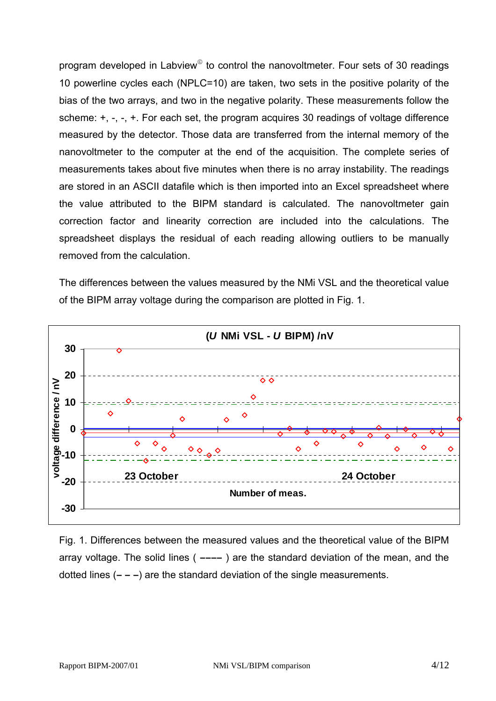program developed in Labview<sup>®</sup> to control the nanovoltmeter. Four sets of 30 readings 10 powerline cycles each (NPLC=10) are taken, two sets in the positive polarity of the bias of the two arrays, and two in the negative polarity. These measurements follow the scheme:  $+, -$ ,  $-, +$ . For each set, the program acquires 30 readings of voltage difference measured by the detector. Those data are transferred from the internal memory of the nanovoltmeter to the computer at the end of the acquisition. The complete series of measurements takes about five minutes when there is no array instability. The readings are stored in an ASCII datafile which is then imported into an Excel spreadsheet where the value attributed to the BIPM standard is calculated. The nanovoltmeter gain correction factor and linearity correction are included into the calculations. The spreadsheet displays the residual of each reading allowing outliers to be manually removed from the calculation.

The differences between the values measured by the NMi VSL and the theoretical value of the BIPM array voltage during the comparison are plotted in Fig. 1.



Fig. 1. Differences between the measured values and the theoretical value of the BIPM array voltage. The solid lines ( **––––** ) are the standard deviation of the mean, and the dotted lines (**– – –**) are the standard deviation of the single measurements.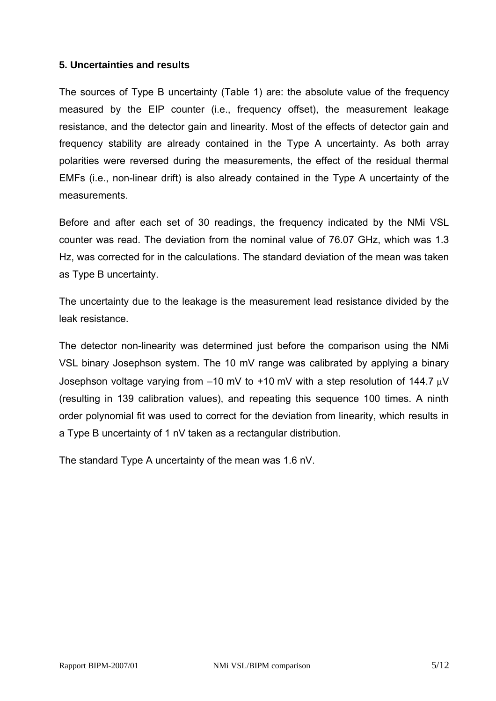### **5. Uncertainties and results**

The sources of Type B uncertainty (Table 1) are: the absolute value of the frequency measured by the EIP counter (i.e., frequency offset), the measurement leakage resistance, and the detector gain and linearity. Most of the effects of detector gain and frequency stability are already contained in the Type A uncertainty. As both array polarities were reversed during the measurements, the effect of the residual thermal EMFs (i.e., non-linear drift) is also already contained in the Type A uncertainty of the measurements.

Before and after each set of 30 readings, the frequency indicated by the NMi VSL counter was read. The deviation from the nominal value of 76.07 GHz, which was 1.3 Hz, was corrected for in the calculations. The standard deviation of the mean was taken as Type B uncertainty.

The uncertainty due to the leakage is the measurement lead resistance divided by the leak resistance.

The detector non-linearity was determined just before the comparison using the NMi VSL binary Josephson system. The 10 mV range was calibrated by applying a binary Josephson voltage varying from –10 mV to +10 mV with a step resolution of 144.7 µV (resulting in 139 calibration values), and repeating this sequence 100 times. A ninth order polynomial fit was used to correct for the deviation from linearity, which results in a Type B uncertainty of 1 nV taken as a rectangular distribution.

The standard Type A uncertainty of the mean was 1.6 nV.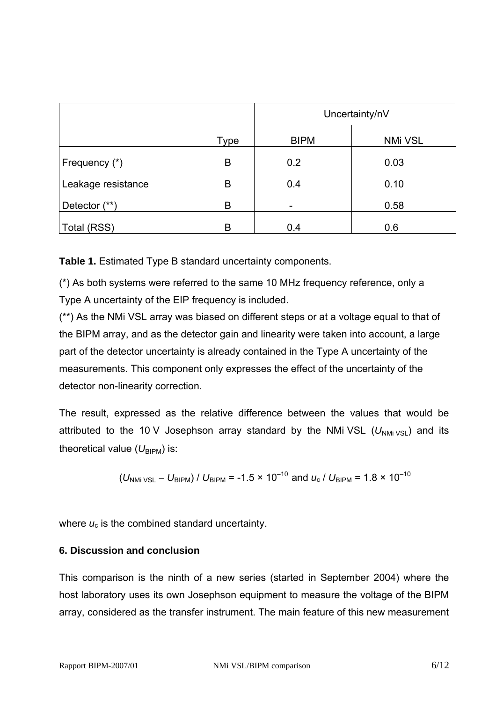|                    |      | Uncertainty/nV |                |
|--------------------|------|----------------|----------------|
|                    | Type | <b>BIPM</b>    | <b>NMi VSL</b> |
| Frequency (*)      | Β    | 0.2            | 0.03           |
| Leakage resistance | Β    | 0.4            | 0.10           |
| Detector (**)      | B    |                | 0.58           |
| Total (RSS)        | B    | 0.4            | 0.6            |

**Table 1.** Estimated Type B standard uncertainty components.

(\*) As both systems were referred to the same 10 MHz frequency reference, only a Type A uncertainty of the EIP frequency is included.

(\*\*) As the NMi VSL array was biased on different steps or at a voltage equal to that of the BIPM array, and as the detector gain and linearity were taken into account, a large part of the detector uncertainty is already contained in the Type A uncertainty of the measurements. This component only expresses the effect of the uncertainty of the detector non-linearity correction.

The result, expressed as the relative difference between the values that would be attributed to the 10 V Josephson array standard by the NMi VSL  $(U_{N\text{Mi}}_{VSL})$  and its theoretical value  $(U_{\text{BIPM}})$  is:

$$
(U_{\text{NMi VSL}} - U_{\text{BIPM}}) / U_{\text{BIPM}} = -1.5 \times 10^{-10}
$$
 and  $u_c / U_{\text{BIPM}} = 1.8 \times 10^{-10}$ 

where  $u_c$  is the combined standard uncertainty.

#### **6. Discussion and conclusion**

This comparison is the ninth of a new series (started in September 2004) where the host laboratory uses its own Josephson equipment to measure the voltage of the BIPM array, considered as the transfer instrument. The main feature of this new measurement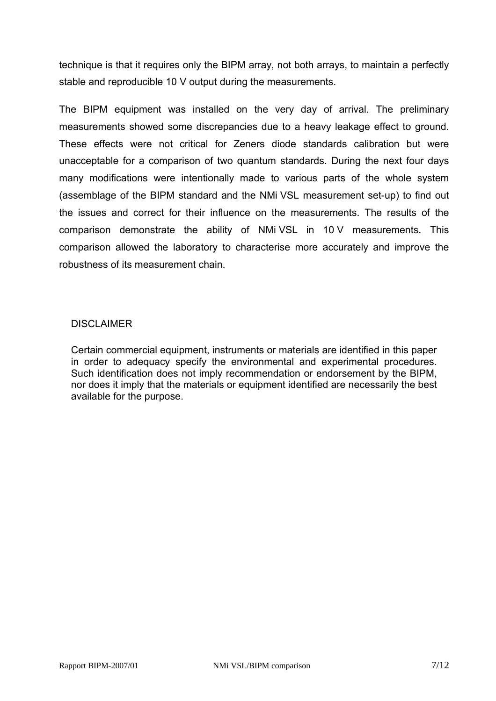technique is that it requires only the BIPM array, not both arrays, to maintain a perfectly stable and reproducible 10 V output during the measurements.

The BIPM equipment was installed on the very day of arrival. The preliminary measurements showed some discrepancies due to a heavy leakage effect to ground. These effects were not critical for Zeners diode standards calibration but were unacceptable for a comparison of two quantum standards. During the next four days many modifications were intentionally made to various parts of the whole system (assemblage of the BIPM standard and the NMi VSL measurement set-up) to find out the issues and correct for their influence on the measurements. The results of the comparison demonstrate the ability of NMi VSL in 10 V measurements. This comparison allowed the laboratory to characterise more accurately and improve the robustness of its measurement chain.

#### **DISCLAIMER**

Certain commercial equipment, instruments or materials are identified in this paper in order to adequacy specify the environmental and experimental procedures. Such identification does not imply recommendation or endorsement by the BIPM, nor does it imply that the materials or equipment identified are necessarily the best available for the purpose.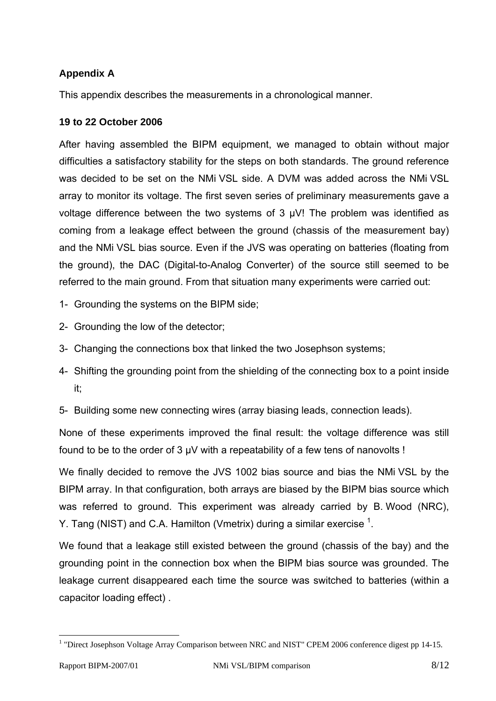# **Appendix A**

This appendix describes the measurements in a chronological manner.

#### **19 to 22 October 2006**

After having assembled the BIPM equipment, we managed to obtain without major difficulties a satisfactory stability for the steps on both standards. The ground reference was decided to be set on the NMi VSL side. A DVM was added across the NMi VSL array to monitor its voltage. The first seven series of preliminary measurements gave a voltage difference between the two systems of 3  $\mu$ V! The problem was identified as coming from a leakage effect between the ground (chassis of the measurement bay) and the NMi VSL bias source. Even if the JVS was operating on batteries (floating from the ground), the DAC (Digital-to-Analog Converter) of the source still seemed to be referred to the main ground. From that situation many experiments were carried out:

- 1- Grounding the systems on the BIPM side;
- 2- Grounding the low of the detector;
- 3- Changing the connections box that linked the two Josephson systems;
- 4- Shifting the grounding point from the shielding of the connecting box to a point inside it;
- 5- Building some new connecting wires (array biasing leads, connection leads).

None of these experiments improved the final result: the voltage difference was still found to be to the order of 3 µV with a repeatability of a few tens of nanovolts !

We finally decided to remove the JVS 1002 bias source and bias the NMi VSL by the BIPM array. In that configuration, both arrays are biased by the BIPM bias source which was referred to ground. This experiment was already carried by B. Wood (NRC), Y[.](#page-8-0) Tang (NIST) and C.A. Hamilton (Vmetrix) during a similar exercise  $^1$ .

We found that a leakage still existed between the ground (chassis of the bay) and the grounding point in the connection box when the BIPM bias source was grounded. The leakage current disappeared each time the source was switched to batteries (within a capacitor loading effect) .

 $\overline{a}$ 

<span id="page-8-0"></span><sup>&</sup>lt;sup>1</sup> "Direct Josephson Voltage Array Comparison between NRC and NIST" CPEM 2006 conference digest pp 14-15.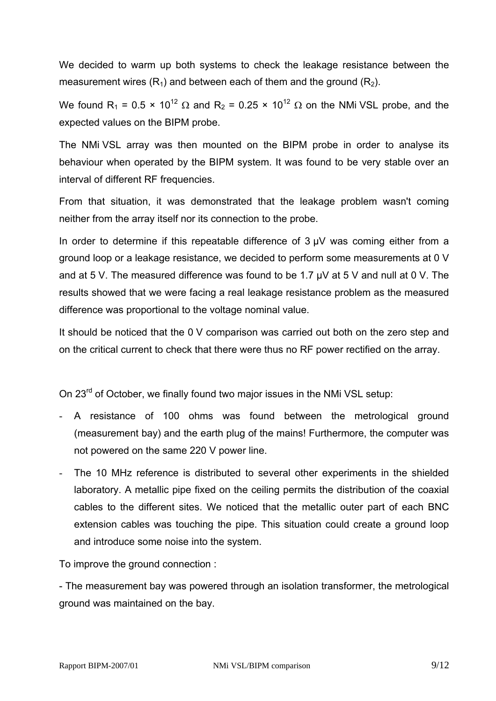We decided to warm up both systems to check the leakage resistance between the measurement wires  $(R_1)$  and between each of them and the ground  $(R_2)$ .

We found R<sub>1</sub> = 0.5 × 10<sup>12</sup>  $\Omega$  and R<sub>2</sub> = 0.25 × 10<sup>12</sup>  $\Omega$  on the NMi VSL probe, and the expected values on the BIPM probe.

The NMi VSL array was then mounted on the BIPM probe in order to analyse its behaviour when operated by the BIPM system. It was found to be very stable over an interval of different RF frequencies.

From that situation, it was demonstrated that the leakage problem wasn't coming neither from the array itself nor its connection to the probe.

In order to determine if this repeatable difference of  $3 \mu V$  was coming either from a ground loop or a leakage resistance, we decided to perform some measurements at 0 V and at 5 V. The measured difference was found to be 1.7 µV at 5 V and null at 0 V. The results showed that we were facing a real leakage resistance problem as the measured difference was proportional to the voltage nominal value.

It should be noticed that the 0 V comparison was carried out both on the zero step and on the critical current to check that there were thus no RF power rectified on the array.

On 23<sup>rd</sup> of October, we finally found two major issues in the NMi VSL setup:

- A resistance of 100 ohms was found between the metrological ground (measurement bay) and the earth plug of the mains! Furthermore, the computer was not powered on the same 220 V power line.
- The 10 MHz reference is distributed to several other experiments in the shielded laboratory. A metallic pipe fixed on the ceiling permits the distribution of the coaxial cables to the different sites. We noticed that the metallic outer part of each BNC extension cables was touching the pipe. This situation could create a ground loop and introduce some noise into the system.

To improve the ground connection :

- The measurement bay was powered through an isolation transformer, the metrological ground was maintained on the bay.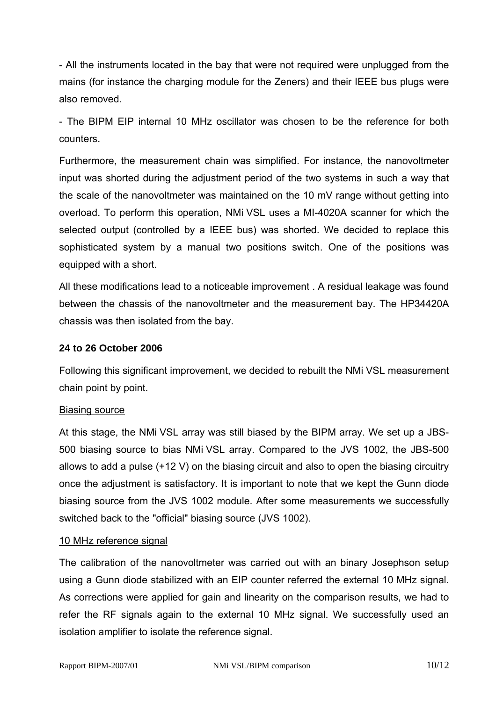- All the instruments located in the bay that were not required were unplugged from the mains (for instance the charging module for the Zeners) and their IEEE bus plugs were also removed.

- The BIPM EIP internal 10 MHz oscillator was chosen to be the reference for both counters.

Furthermore, the measurement chain was simplified. For instance, the nanovoltmeter input was shorted during the adjustment period of the two systems in such a way that the scale of the nanovoltmeter was maintained on the 10 mV range without getting into overload. To perform this operation, NMi VSL uses a MI-4020A scanner for which the selected output (controlled by a IEEE bus) was shorted. We decided to replace this sophisticated system by a manual two positions switch. One of the positions was equipped with a short.

All these modifications lead to a noticeable improvement . A residual leakage was found between the chassis of the nanovoltmeter and the measurement bay. The HP34420A chassis was then isolated from the bay.

### **24 to 26 October 2006**

Following this significant improvement, we decided to rebuilt the NMi VSL measurement chain point by point.

#### Biasing source

At this stage, the NMi VSL array was still biased by the BIPM array. We set up a JBS-500 biasing source to bias NMi VSL array. Compared to the JVS 1002, the JBS-500 allows to add a pulse (+12 V) on the biasing circuit and also to open the biasing circuitry once the adjustment is satisfactory. It is important to note that we kept the Gunn diode biasing source from the JVS 1002 module. After some measurements we successfully switched back to the "official" biasing source (JVS 1002).

#### 10 MHz reference signal

The calibration of the nanovoltmeter was carried out with an binary Josephson setup using a Gunn diode stabilized with an EIP counter referred the external 10 MHz signal. As corrections were applied for gain and linearity on the comparison results, we had to refer the RF signals again to the external 10 MHz signal. We successfully used an isolation amplifier to isolate the reference signal.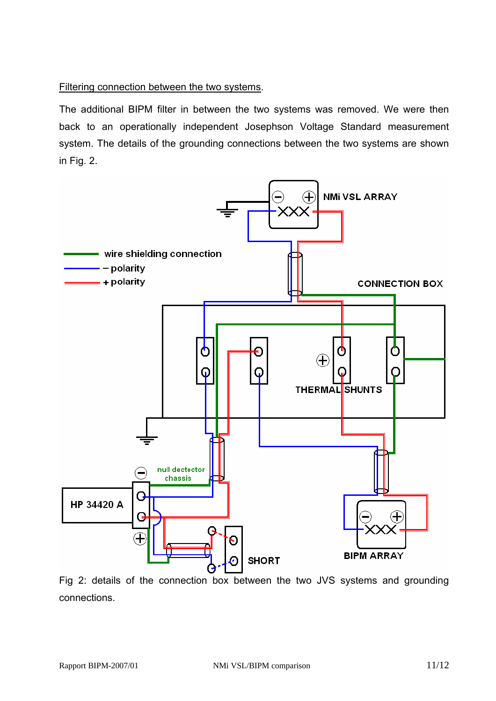# Filtering connection between the two systems.

The additional BIPM filter in between the two systems was removed. We were then back to an operationally independent Josephson Voltage Standard measurement system. The details of the grounding connections between the two systems are shown in Fig. 2.



Fig 2: details of the connection box between the two JVS systems and grounding connections.